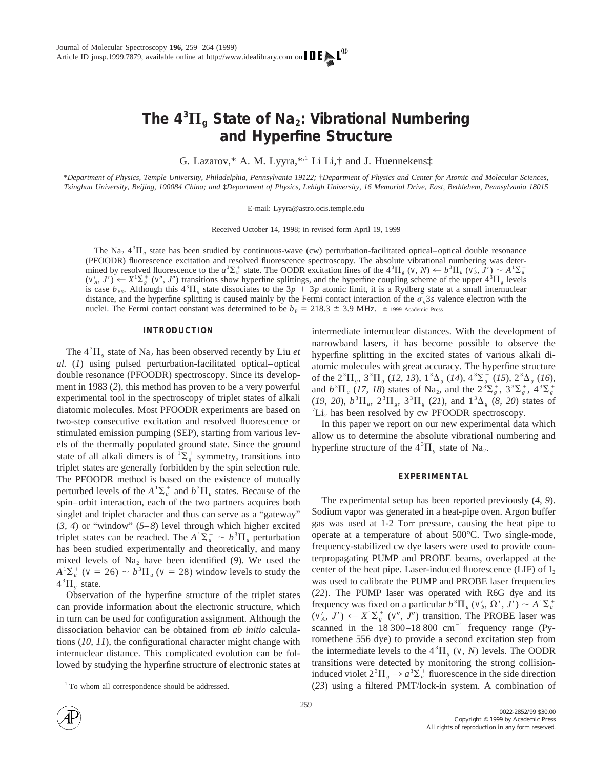# The  $4^3\Pi_g$  State of Na<sub>2</sub>: Vibrational Numbering **and Hyperfine Structure**

G. Lazarov,\* A. M. Lyyra,\*,1 Li Li,† and J. Huennekens‡

\**Department of Physics, Temple University, Philadelphia, Pennsylvania 19122;* †*Department of Physics and Center for Atomic and Molecular Sciences, Tsinghua University, Beijing, 100084 China; and* ‡*Department of Physics, Lehigh University, 16 Memorial Drive, East, Bethlehem, Pennsylvania 18015*

E-mail: Lyyra@astro.ocis.temple.edu

Received October 14, 1998; in revised form April 19, 1999

The Na<sub>2</sub>  $4^{3}$ H<sub>g</sub> state has been studied by continuous-wave (cw) perturbation-facilitated optical–optical double resonance (PFOODR) fluorescence excitation and resolved fluorescence spectroscopy. The absolute vibrational numbering was determined by resolved fluorescence to the  $a^3 \Sigma_a^+$  state. The OODR excitation lines of the  $4^3 \Pi_g$  (*v*, *N*)  $\leftarrow b^3 \Pi_u$  (*v'<sub>b</sub>*, *J'*)  $\sim A^1 \Sigma_a^+$  $(v'_A, J') \leftarrow X^1 \Sigma_g^+ (v'', J'')$  transitions show hyperfine splittings, and the hyperfine coupling scheme of the upper  $4^3 \Pi_g$  levels is case  $b_{\beta S}$ . Although this  $4^{3}\Pi_{g}$  state dissociates to the  $3p + 3p$  atomic limit, it is a Rydberg state at a small internuclear distance, and the hyperfine splitting is caused mainly by the Fermi contact interaction of the  $\sigma_g$ 3*s* valence electron with the nuclei. The Fermi contact constant was determined to be  $b_F = 218.3 \pm 3.9$  MHz.  $\degree$  1999 Academic Press

## **INTRODUCTION**

The  $4^{3} \Pi_{g}$  state of Na<sub>2</sub> has been observed recently by Liu *et al.* (*1*) using pulsed perturbation-facilitated optical–optical double resonance (PFOODR) spectroscopy. Since its development in 1983 (*2*), this method has proven to be a very powerful experimental tool in the spectroscopy of triplet states of alkali diatomic molecules. Most PFOODR experiments are based on two-step consecutive excitation and resolved fluorescence or stimulated emission pumping (SEP), starting from various levels of the thermally populated ground state. Since the ground state of all alkali dimers is of  ${}^{1}\Sigma_{g}^{+}$  symmetry, transitions into triplet states are generally forbidden by the spin selection rule. The PFOODR method is based on the existence of mutually perturbed levels of the  $A^1\Sigma_u^+$  and  $b^3\Pi_u$  states. Because of the spin–orbit interaction, each of the two partners acquires both singlet and triplet character and thus can serve as a "gateway" (*3, 4*) or "window" (*5–8*) level through which higher excited triplet states can be reached. The  $A^1\Sigma_u^+ \sim b^3 \Pi_u$  perturbation has been studied experimentally and theoretically, and many mixed levels of  $Na<sub>2</sub>$  have been identified (9). We used the  $A^{\dagger} \Sigma_{u}^{+}$  (*v* = 26)  $\sim b^3 \Pi_{u}$  (*v* = 28) window levels to study the  $4^{3}\Pi_{g}$  state.

Observation of the hyperfine structure of the triplet states can provide information about the electronic structure, which in turn can be used for configuration assignment. Although the dissociation behavior can be obtained from *ab initio* calculations (*10, 11*), the configurational character might change with internuclear distance. This complicated evolution can be followed by studying the hyperfine structure of electronic states at intermediate internuclear distances. With the development of narrowband lasers, it has become possible to observe the hyperfine splitting in the excited states of various alkali diatomic molecules with great accuracy. The hyperfine structure of the  $2^{3}\Pi_{g}$ ,  $3^{3}\Pi_{g}$  (12, 13),  $1^{3}\Delta_{g}$  (14),  $4^{3}\Sigma_{g}^{+}$  (15),  $2^{3}\Delta_{g}$  (16), and  $b^3 \Pi_u$  (17, 18) states of Na<sub>2</sub>, and the  $2^3 \Sigma_g^+$ ,  $3^3 \Sigma_g^+$ ,  $4^3 \Sigma_g^+$  $(19, 20), b^3 \Pi_u$ ,  $2^3 \Pi_g$ ,  $3^3 \Pi_g$  (21), and  $1^3 \Delta_g$  (8, 20) states of  ${}^{7}Li_{2}$  has been resolved by cw PFOODR spectroscopy.

In this paper we report on our new experimental data which allow us to determine the absolute vibrational numbering and hyperfine structure of the  $4^{3} \Pi_{g}$  state of Na<sub>2</sub>.

## **EXPERIMENTAL**

The experimental setup has been reported previously (*4, 9*). Sodium vapor was generated in a heat-pipe oven. Argon buffer gas was used at 1-2 Torr pressure, causing the heat pipe to operate at a temperature of about 500°C. Two single-mode, frequency-stabilized cw dye lasers were used to provide counterpropagating PUMP and PROBE beams, overlapped at the center of the heat pipe. Laser-induced fluorescence (LIF) of  $I_2$ was used to calibrate the PUMP and PROBE laser frequencies (*22*). The PUMP laser was operated with R6G dye and its frequency was fixed on a particular  $b^3 \Pi_u (v'_b, \Omega', J') \sim A^1 \Sigma_u^+$  $(v'_A, J') \leftarrow X^1 \sum_{g}^+ (v'', J'')$  transition. The PROBE laser was scanned in the  $18\,300-18\,800$  cm<sup>-1</sup> frequency range (Pyromethene 556 dye) to provide a second excitation step from the intermediate levels to the  $4<sup>3</sup>\Pi<sub>g</sub>$  (*v*, *N*) levels. The OODR transitions were detected by monitoring the strong collisioninduced violet  $2^{3}\Pi_{g} \rightarrow a^{3}\Sigma_{u}^{+}$  fluorescence in the side direction <sup>1</sup> To whom all correspondence should be addressed. (23) using a filtered PMT/lock-in system. A combination of

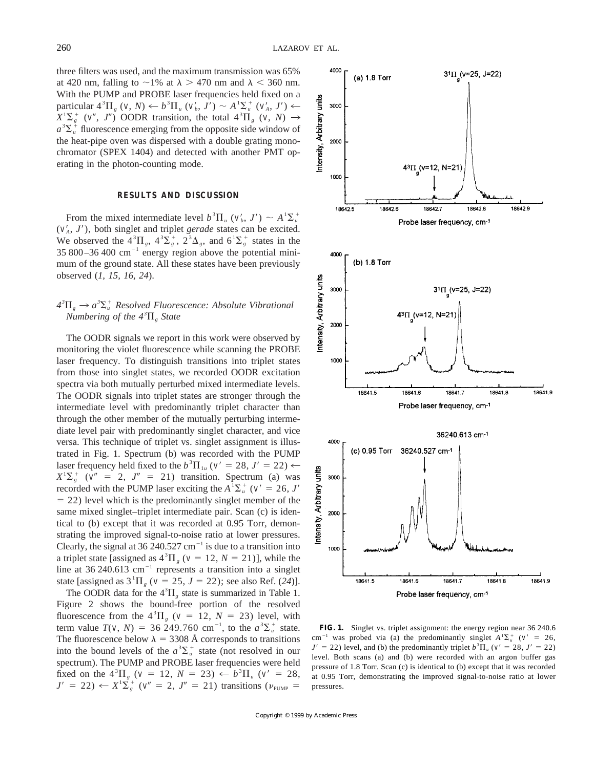three filters was used, and the maximum transmission was 65% at 420 nm, falling to  $\sim$ 1% at  $\lambda$  > 470 nm and  $\lambda$  < 360 nm. With the PUMP and PROBE laser frequencies held fixed on a particular  $4^{3}\Pi_{g}$  (*v*, *N*)  $\leftarrow b^{3}\Pi_{u}$  (*v'<sub>b</sub>*, *J'*)  $\sim A^{1}\Sigma_{u}^{+}$  (*v'<sub>A</sub>*, *J'*)  $\leftarrow$  $X^1\Sigma_g^+$  (*v''*, *J''*) OODR transition, the total  $4^3\Pi_g$  (*v*, *N*)  $\rightarrow$  $a^3 \Sigma_{u}^+$  fluorescence emerging from the opposite side window of the heat-pipe oven was dispersed with a double grating monochromator (SPEX 1404) and detected with another PMT operating in the photon-counting mode.

## **RESULTS AND DISCUSSION**

From the mixed intermediate level  $b^3 \Pi_u$  ( $v'_b$ ,  $J'$ ) ~  $A^1 \Sigma_u^+$  $(v'_A, J')$ , both singlet and triplet *gerade* states can be excited. We observed the  $4^{3}\Pi_{g}$ ,  $4^{3}\Sigma_{g}^{+}$ ,  $2^{3}\Delta_{g}$ , and  $6^{1}\Sigma_{g}^{+}$  states in the 35 800–36 400  $\text{cm}^{-1}$  energy region above the potential minimum of the ground state. All these states have been previously observed (*1, 15, 16, 24*).

# $4^{3}\Pi_{g} \rightarrow a^{3}\Sigma_{u}^{+}$  Resolved Fluorescence: Absolute Vibrational *Numbering of the*  $4^{3}$  $\Pi_{g}$  *State*

The OODR signals we report in this work were observed by monitoring the violet fluorescence while scanning the PROBE laser frequency. To distinguish transitions into triplet states from those into singlet states, we recorded OODR excitation spectra via both mutually perturbed mixed intermediate levels. The OODR signals into triplet states are stronger through the intermediate level with predominantly triplet character than through the other member of the mutually perturbing intermediate level pair with predominantly singlet character, and vice versa. This technique of triplet vs. singlet assignment is illustrated in Fig. 1. Spectrum (b) was recorded with the PUMP laser frequency held fixed to the  $b^3\Pi_{1u}$  ( $v' = 28$ ,  $J' = 22$ )  $\leftarrow$  $X^{\dagger} \Sigma_{g}^{+}$  ( $v'' = 2$ ,  $J'' = 21$ ) transition. Spectrum (a) was recorded with the PUMP laser exciting the  $A^1\Sigma_u^+$  ( $v' = 26$ , *J'*  $= 22$ ) level which is the predominantly singlet member of the same mixed singlet–triplet intermediate pair. Scan (c) is identical to (b) except that it was recorded at 0.95 Torr, demonstrating the improved signal-to-noise ratio at lower pressures. Clearly, the signal at 36 240.527  $cm^{-1}$  is due to a transition into a triplet state [assigned as  $4^{3} \Pi_{g}$  ( $v = 12$ ,  $N = 21$ )], while the line at 36 240.613 cm<sup>-1</sup> represents a transition into a singlet state [assigned as  $3^{1}\Pi_{g}$  ( $v = 25$ ,  $J = 22$ ); see also Ref. (24)].

The OODR data for the  $4^{3}\Pi_{g}$  state is summarized in Table 1. Figure 2 shows the bound-free portion of the resolved fluorescence from the  $4^{3} \Pi_{g}$  ( $v = 12$ ,  $N = 23$ ) level, with term value  $T(v, N) = 36\ 249.760 \text{ cm}^{-1}$ , to the  $a^3 \Sigma_u^+$  state. The fluorescence below  $\lambda = 3308$  Å corresponds to transitions into the bound levels of the  $a^3 \Sigma_u^+$  state (not resolved in our spectrum). The PUMP and PROBE laser frequencies were held fixed on the  $4^{3} \Pi_{g}$  ( $v = 12$ ,  $N = 23$ )  $\leftarrow b^{3} \Pi_{u}$  ( $v' = 28$ ,  $J' = 22$ )  $\leftarrow X^1 \Sigma_g^+$  ( $v'' = 2$ ,  $J'' = 21$ ) transitions ( $v_{\text{PUMP}} =$ 



**FIG. 1.** Singlet vs. triplet assignment: the energy region near 36 240.6 cm<sup>-1</sup> was probed via (a) the predominantly singlet  $A^T\Sigma_u^+$  ( $v' = 26$ ,  $J' = 22$ ) level, and (b) the predominantly triplet  $b^3 \Pi_u$  ( $v' = 28$ ,  $J' = 22$ ) level. Both scans (a) and (b) were recorded with an argon buffer gas pressure of 1.8 Torr. Scan (c) is identical to (b) except that it was recorded at 0.95 Torr, demonstrating the improved signal-to-noise ratio at lower pressures.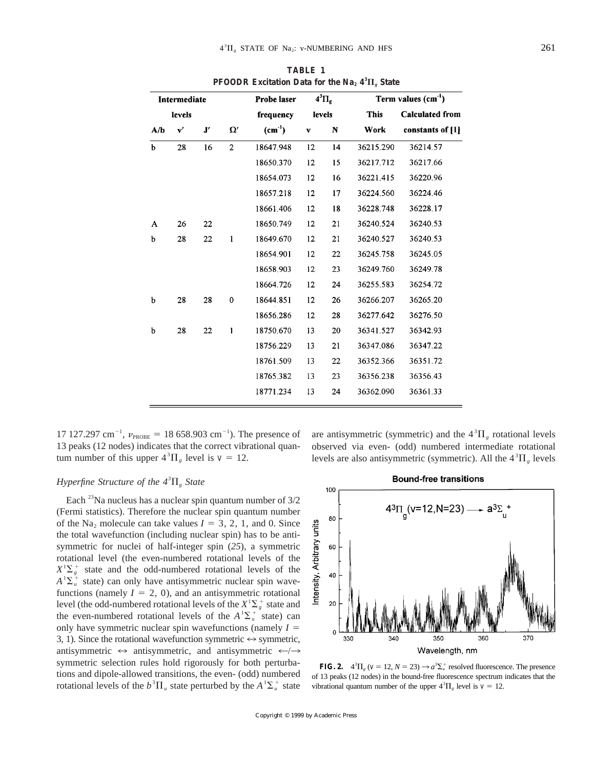| Intermediate<br>levels |               |                     |                | Probe laser<br>frequency | $4^3\Pi_g$<br>levels |    | Term values $(cm-1)$ |                        |
|------------------------|---------------|---------------------|----------------|--------------------------|----------------------|----|----------------------|------------------------|
|                        |               |                     |                |                          |                      |    | <b>This</b>          | <b>Calculated from</b> |
| A/b                    | $\mathbf{v}'$ | $\mathbf{J}^\prime$ | $\Omega'$      | $(cm-1)$                 | $\mathbf v$          | N  | Work                 | constants of [1]       |
| $\mathbf b$            | 28            | 16                  | $\overline{2}$ | 18647.948                | 12                   | 14 | 36215.290            | 36214.57               |
|                        |               |                     |                | 18650.370                | 12                   | 15 | 36217.712            | 36217.66               |
|                        |               |                     |                | 18654.073                | 12                   | 16 | 36221.415            | 36220.96               |
|                        |               |                     |                | 18657.218                | 12                   | 17 | 36224.560            | 36224.46               |
|                        |               |                     |                | 18661.406                | 12                   | 18 | 36228.748            | 36228.17               |
| A                      | 26            | 22                  |                | 18650.749                | 12                   | 21 | 36240.524            | 36240.53               |
| b                      | 28            | 22                  | 1              | 18649.670                | 12                   | 21 | 36240.527            | 36240.53               |
|                        |               |                     |                | 18654.901                | 12                   | 22 | 36245.758            | 36245.05               |
|                        |               |                     |                | 18658.903                | 12                   | 23 | 36249.760            | 36249.78               |
|                        |               |                     |                | 18664.726                | 12                   | 24 | 36255.583            | 36254.72               |
| b                      | 28            | 28                  | $\bf{0}$       | 18644.851                | 12                   | 26 | 36266.207            | 36265.20               |
|                        |               |                     |                | 18656.286                | 12                   | 28 | 36277.642            | 36276.50               |
| b                      | 28            | 22                  | $\mathbf{1}$   | 18750.670                | 13                   | 20 | 36341.527            | 36342.93               |
|                        |               |                     |                | 18756.229                | 13                   | 21 | 36347.086            | 36347.22               |
|                        |               |                     |                | 18761.509                | 13                   | 22 | 36352.366            | 36351.72               |
|                        |               |                     |                | 18765.382                | 13                   | 23 | 36356.238            | 36356.43               |
|                        |               |                     |                | 18771.234                | 13                   | 24 | 36362.090            | 36361.33               |
|                        |               |                     |                |                          |                      |    |                      |                        |

**TABLE 1 PFOODR Excitation Data for the Na<sub>2</sub>**  $4^3\Pi_g$  **State** 

17 127.297 cm<sup>-1</sup>,  $v_{\text{PROBE}} = 18$  658.903 cm<sup>-1</sup>). The presence of 13 peaks (12 nodes) indicates that the correct vibrational quantum number of this upper  $4^{3} \Pi_{g}$  level is  $v = 12$ .

are antisymmetric (symmetric) and the  $4<sup>3</sup>\Pi<sub>g</sub>$  rotational levels observed via even- (odd) numbered intermediate rotational levels are also antisymmetric (symmetric). All the  $4<sup>3</sup>\Pi<sub>g</sub>$  levels

## *Hyperfine Structure of the*  $4^{3}$  $\Pi_{g}$  *<i>State*

Each  $^{23}$ Na nucleus has a nuclear spin quantum number of  $3/2$ (Fermi statistics). Therefore the nuclear spin quantum number of the Na<sub>2</sub> molecule can take values  $I = 3, 2, 1$ , and 0. Since the total wavefunction (including nuclear spin) has to be antisymmetric for nuclei of half-integer spin (*25*), a symmetric rotational level (the even-numbered rotational levels of the  $X^{\dagger} \Sigma_{g}^{+}$  state and the odd-numbered rotational levels of the  $A^{\dagger} \Sigma_{u}^{+}$  state) can only have antisymmetric nuclear spin wavefunctions (namely  $I = 2, 0$ ), and an antisymmetric rotational level (the odd-numbered rotational levels of the  $X^1\Sigma_g^+$  state and the even-numbered rotational levels of the  $A^1\Sigma_u^+$  state) can only have symmetric nuclear spin wavefunctions (namely  $I =$ 3, 1). Since the rotational wavefunction symmetric  $\leftrightarrow$  symmetric, antisymmetric  $\leftrightarrow$  antisymmetric, and antisymmetric  $\leftarrow$ / $\rightarrow$ symmetric selection rules hold rigorously for both perturbations and dipole-allowed transitions, the even- (odd) numbered rotational levels of the  $b^3 \Pi_u$  state perturbed by the  $A^1 \Sigma_u^+$  state



**FIG. 2.**  $4^{3} \Pi_{g}$  ( $v = 12$ ,  $N = 23$ )  $\rightarrow a^{3} \Sigma_{u}^{+}$  resolved fluorescence. The presence of 13 peaks (12 nodes) in the bound-free fluorescence spectrum indicates that the vibrational quantum number of the upper  $4^{3} \Pi_{g}$  level is  $v = 12$ .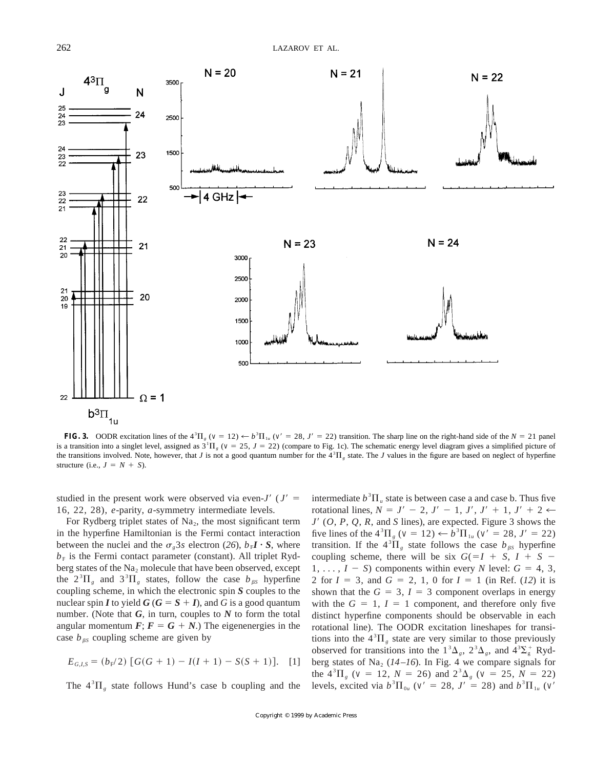

**FIG. 3.** OODR excitation lines of the  $4^{3} \Pi_{g}$  ( $v = 12$ )  $\leftarrow b^{3} \Pi_{1u}$  ( $v' = 28$ ,  $J' = 22$ ) transition. The sharp line on the right-hand side of the  $N = 21$  panel is a transition into a singlet level, assigned as  $3^{1}\Pi_{g}$  ( $v = 25$ ,  $J = 22$ ) (compare to Fig. 1c). The schematic energy level diagram gives a simplified picture of the transitions involved. Note, however, that *J* is not a good quantum number for the  $4<sup>3</sup>$ H<sub>g</sub> state. The *J* values in the figure are based on neglect of hyperfine structure (i.e.,  $J = N + S$ ).

studied in the present work were observed via even- $J'$  ( $J' =$ 16, 22, 28), *e*-parity, *a*-symmetry intermediate levels.

For Rydberg triplet states of  $Na<sub>2</sub>$ , the most significant term in the hyperfine Hamiltonian is the Fermi contact interaction between the nuclei and the  $\sigma_{\gamma}$ 3*s* electron (26),  $b_{F}I \cdot S$ , where  $b_F$  is the Fermi contact parameter (constant). All triplet Rydberg states of the  $Na<sub>2</sub>$  molecule that have been observed, except the  $2^{3}\Pi_{g}$  and  $3^{3}\Pi_{g}$  states, follow the case  $b_{\beta s}$  hyperfine coupling scheme, in which the electronic spin *S* couples to the nuclear spin *I* to yield  $G$  ( $G = S + I$ ), and *G* is a good quantum number. (Note that *G*, in turn, couples to *N* to form the total angular momentum  $\mathbf{F}$ ;  $\mathbf{F} = \mathbf{G} + \mathbf{N}$ .) The eigenenergies in the case  $b_{\beta S}$  coupling scheme are given by

$$
E_{G,I,S} = (b_{F}/2) [G(G + 1) - I(I + 1) - S(S + 1)]. \quad [1]
$$

The  $4^{3}\Pi_{g}$  state follows Hund's case b coupling and the

intermediate  $b^3 \Pi_u$  state is between case a and case b. Thus five rotational lines,  $N = J' - 2$ ,  $J' - 1$ ,  $J'$ ,  $J' + 1$ ,  $J' + 2 \leftarrow$  $J'(O, P, Q, R,$  and *S* lines), are expected. Figure 3 shows the five lines of the  $4^{3} \Pi_{g}$  ( $v = 12$ )  $\leftarrow b^{3} \Pi_{1u}$  ( $v' = 28$ ,  $J' = 22$ ) transition. If the  $4^{3}\Pi_{g}$  state follows the case  $b_{\beta S}$  hyperfine coupling scheme, there will be six  $G(=I + S, I + S 1, \ldots, I - S$  components within every *N* level:  $G = 4, 3$ , 2 for  $I = 3$ , and  $G = 2, 1, 0$  for  $I = 1$  (in Ref. (12) it is shown that the  $G = 3$ ,  $I = 3$  component overlaps in energy with the  $G = 1$ ,  $I = 1$  component, and therefore only five distinct hyperfine components should be observable in each rotational line). The OODR excitation lineshapes for transitions into the  $4<sup>3</sup>\Pi<sub>g</sub>$  state are very similar to those previously observed for transitions into the  $1^3\Delta_g$ ,  $2^3\Delta_g$ , and  $4^3\Sigma_g^+$  Rydberg states of Na<sub>2</sub> ( $14-16$ ). In Fig. 4 we compare signals for the  $4^{3} \Pi_{g}$  (*v* = 12, *N* = 26) and  $2^{3} \Delta_{g}$  (*v* = 25, *N* = 22) levels, excited via  $b^{3} \Pi_{0u}$  ( $v' = 28$ ,  $J' = 28$ ) and  $b^{3} \Pi_{1u}$  ( $v'$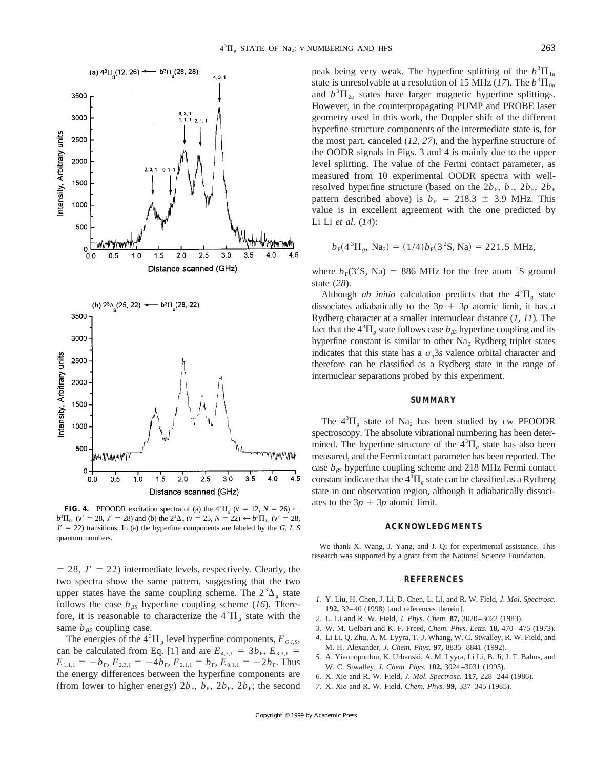

**FIG. 4.** PFOODR excitation spectra of (a) the  $4^{3}\Pi_{g}$  ( $v = 12$ ,  $N = 26$ )  $\leftarrow$  $b^{3}\Pi_{0u}$  (*v* = 28, *J*<sup> $\prime$ </sup> = 28) and (b) the  $2^{3}\Delta_{g}$  (*v* = 25, *N* = 22)  $\leftarrow b^{3}\Pi_{1u}$  (*v* = 28,  $J' = 22$ ) transitions. In (a) the hyperfine components are labeled by the *G*, *I*, *S* quantum numbers.

 $= 28$ ,  $J' = 22$ ) intermediate levels, respectively. Clearly, the two spectra show the same pattern, suggesting that the two upper states have the same coupling scheme. The  $2^3\Delta_g$  state follows the case  $b_{\beta S}$  hyperfine coupling scheme (*16*). Therefore, it is reasonable to characterize the  $4^{3} \Pi_{g}$  state with the same  $b_{\beta S}$  coupling case.

The energies of the  $4^{3} \Pi_{g}$  level hyperfine components,  $E_{G,I,S}$ , can be calculated from Eq. [1] and are  $E_{4,3,1} = 3b_F$ ,  $E_{3,3,1} =$  $E_{1,1,1} = -b_F$ ,  $E_{2,3,1} = -4b_F$ ,  $E_{2,1,1} = b_F$ ,  $E_{0,1,1} = -2b_F$ . Thus the energy differences between the hyperfine components are (from lower to higher energy)  $2b_F$ ,  $b_F$ ,  $2b_F$ ,  $2b_F$ ; the second

peak being very weak. The hyperfine splitting of the  $b^3 \Pi_{1u}$ state is unresolvable at a resolution of 15 MHz (17). The  $b^3 \Pi_{0u}$ and  $b^3 \Pi_{2u}$  states have larger magnetic hyperfine splittings. However, in the counterpropagating PUMP and PROBE laser geometry used in this work, the Doppler shift of the different hyperfine structure components of the intermediate state is, for the most part, canceled (*12, 27*), and the hyperfine structure of the OODR signals in Figs. 3 and 4 is mainly due to the upper level splitting. The value of the Fermi contact parameter, as measured from 10 experimental OODR spectra with wellresolved hyperfine structure (based on the  $2b_F$ ,  $b_F$ ,  $2b_F$ ,  $2b_F$ pattern described above) is  $b_F = 218.3 \pm 3.9$  MHz. This value is in excellent agreement with the one predicted by Li Li *et al.* (*14*):

$$
b_{\rm F}(4^3\Pi_{\rm g},\text{ Na}_2) = (1/4)b_{\rm F}(3^2\text{S},\text{Na}) = 221.5 \text{ MHz},
$$

where  $b_F(3^2S, Na) = 886 MHz$  for the free atom <sup>2</sup>S ground state (*28*).

Although *ab initio* calculation predicts that the  $4^{3}\Pi_{g}$  state dissociates adiabatically to the  $3p + 3p$  atomic limit, it has a Rydberg character at a smaller internuclear distance (*1, 11*). The fact that the  $4^{3}\Pi_{g}$  state follows case  $b_{\beta S}$  hyperfine coupling and its hyperfine constant is similar to other  $Na<sub>2</sub>$  Rydberg triplet states indicates that this state has a  $\sigma_{\gamma}$ 3*s* valence orbital character and therefore can be classified as a Rydberg state in the range of internuclear separations probed by this experiment.

## **SUMMARY**

The  $4^{3}\Pi_{g}$  state of Na<sub>2</sub> has been studied by cw PFOODR spectroscopy. The absolute vibrational numbering has been determined. The hyperfine structure of the  $4^{3} \Pi_{g}$  state has also been measured, and the Fermi contact parameter has been reported. The case  $b_{\beta S}$  hyperfine coupling scheme and 218 MHz Fermi contact constant indicate that the  $4^{3} \Pi_{g}$  state can be classified as a Rydberg state in our observation region, although it adiabatically dissociates to the  $3p + 3p$  atomic limit.

## **ACKNOWLEDGMENTS**

We thank X. Wang, J. Yang, and J. Qi for experimental assistance. This research was supported by a grant from the National Science Foundation.

## **REFERENCES**

- *1.* Y. Liu, H. Chen, J. Li, D. Chen, L. Li, and R. W. Field, *J. Mol. Spectrosc.* **192,** 32–40 (1998) [and references therein].
- *2.* L. Li and R. W. Field, *J. Phys. Chem.* **87,** 3020–3022 (1983).
- *3.* W. M. Gelbart and K. F. Freed, *Chem. Phys. Letts.* **18,** 470–475 (1973).
- *4.* Li Li, Q. Zhu, A. M. Lyyra, T.-J. Whang, W. C. Stwalley, R. W. Field, and M. H. Alexander, *J. Chem. Phys.* **97,** 8835–8841 (1992).
- *5.* A. Yiannopoulou, K. Urbanski, A. M. Lyyra, Li Li, B. Ji, J. T. Bahns, and W. C. Stwalley, *J. Chem. Phys.* **102,** 3024–3031 (1995).
- *6.* X. Xie and R. W. Field, *J. Mol. Spectrosc.* **117,** 228–244 (1986).
- *7.* X. Xie and R. W. Field, *Chem. Phys.* **99,** 337–345 (1985).